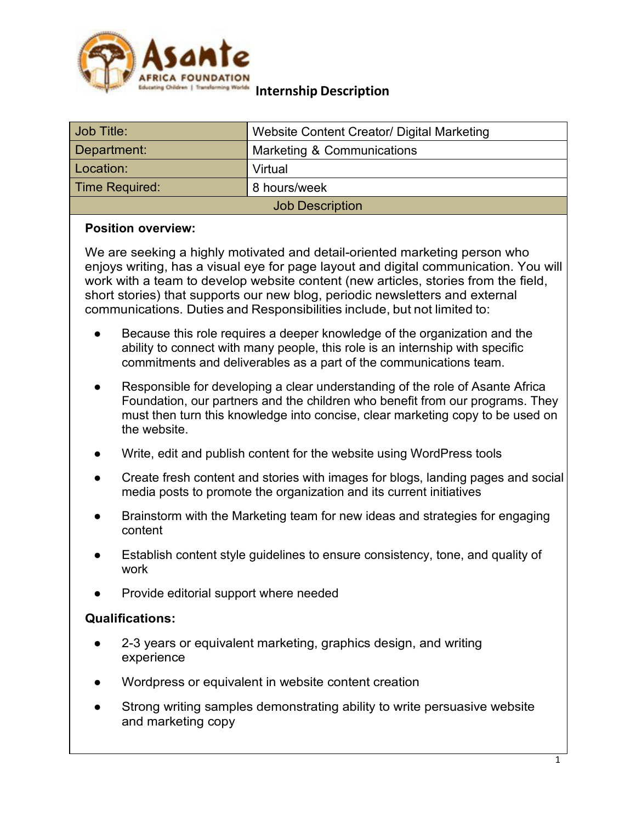

#### **Internship Description**

| Job Title:             | Website Content Creator/ Digital Marketing |
|------------------------|--------------------------------------------|
| Department:            | Marketing & Communications                 |
| Location:              | Virtual                                    |
| Time Required:         | 8 hours/week                               |
| <b>Job Description</b> |                                            |

### **Position overview:**

We are seeking a highly motivated and detail-oriented marketing person who enjoys writing, has a visual eye for page layout and digital communication. You will work with a team to develop website content (new articles, stories from the field, short stories) that supports our new blog, periodic newsletters and external communications. Duties and Responsibilities include, but not limited to:

- Because this role requires a deeper knowledge of the organization and the ability to connect with many people, this role is an internship with specific commitments and deliverables as a part of the communications team.
- Responsible for developing a clear understanding of the role of Asante Africa Foundation, our partners and the children who benefit from our programs. They must then turn this knowledge into concise, clear marketing copy to be used on the website.
- Write, edit and publish content for the website using WordPress tools
- Create fresh content and stories with images for blogs, landing pages and social media posts to promote the organization and its current initiatives
- Brainstorm with the Marketing team for new ideas and strategies for engaging content
- Establish content style guidelines to ensure consistency, tone, and quality of work
- Provide editorial support where needed

### **Qualifications:**

- 2-3 years or equivalent marketing, graphics design, and writing experience
- Wordpress or equivalent in website content creation
- Strong writing samples demonstrating ability to write persuasive website and marketing copy